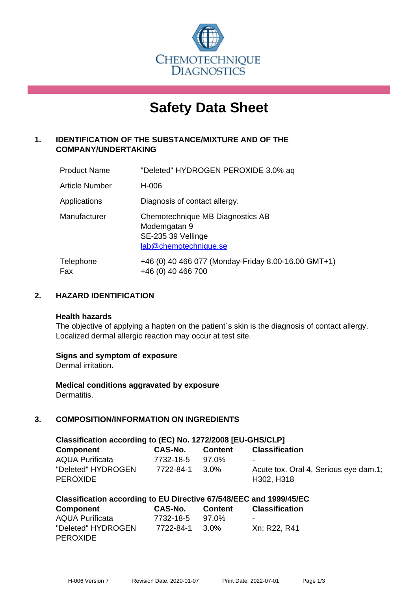

# **Safety Data Sheet**

# **1. IDENTIFICATION OF THE SUBSTANCE/MIXTURE AND OF THE COMPANY/UNDERTAKING**

| <b>Product Name</b>   | "Deleted" HYDROGEN PEROXIDE 3.0% aq                                                             |
|-----------------------|-------------------------------------------------------------------------------------------------|
| <b>Article Number</b> | H-006                                                                                           |
| Applications          | Diagnosis of contact allergy.                                                                   |
| Manufacturer          | Chemotechnique MB Diagnostics AB<br>Modemgatan 9<br>SE-235 39 Vellinge<br>lab@chemotechnique.se |
| Telephone<br>Fax      | +46 (0) 40 466 077 (Monday-Friday 8.00-16.00 GMT+1)<br>+46 (0) 40 466 700                       |

# **2. HAZARD IDENTIFICATION**

#### **Health hazards**

The objective of applying a hapten on the patient's skin is the diagnosis of contact allergy. Localized dermal allergic reaction may occur at test site.

#### **Signs and symptom of exposure**

Dermal irritation.

**Medical conditions aggravated by exposure** Dermatitis.

# **3. COMPOSITION/INFORMATION ON INGREDIENTS**

| Classification according to (EC) No. 1272/2008 [EU-GHS/CLP] |           |         |                                                     |
|-------------------------------------------------------------|-----------|---------|-----------------------------------------------------|
| <b>Component</b>                                            | CAS-No.   | Content | <b>Classification</b>                               |
| <b>AQUA Purificata</b>                                      | 7732-18-5 | 97.0%   | ۰                                                   |
| "Deleted" HYDROGEN<br><b>PEROXIDE</b>                       | 7722-84-1 | 3.0%    | Acute tox. Oral 4, Serious eye dam.1;<br>H302, H318 |

|  | Classification according to EU Directive 67/548/EEC and 1999/45/EC |
|--|--------------------------------------------------------------------|
|--|--------------------------------------------------------------------|

| <b>Component</b>       | CAS-No.   | <b>Content</b> | <b>Classification</b> |
|------------------------|-----------|----------------|-----------------------|
| <b>AQUA Purificata</b> | 7732-18-5 | 97.0%          | $\blacksquare$        |
| "Deleted" HYDROGEN     | 7722-84-1 | 3.0%           | Xn; R22, R41          |
| <b>PEROXIDE</b>        |           |                |                       |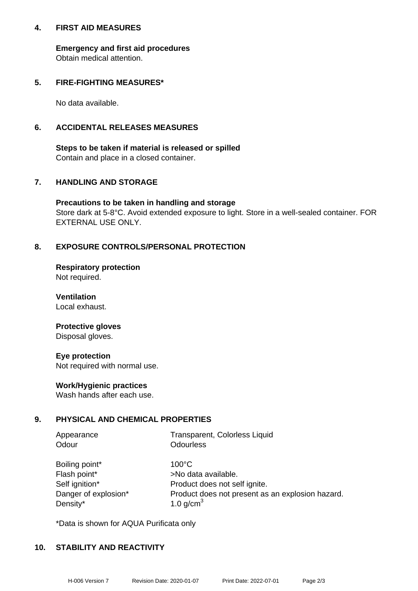#### **4. FIRST AID MEASURES**

**Emergency and first aid procedures** Obtain medical attention.

## **5. FIRE-FIGHTING MEASURES\***

No data available.

## **6. ACCIDENTAL RELEASES MEASURES**

**Steps to be taken if material is released or spilled** Contain and place in a closed container.

# **7. HANDLING AND STORAGE**

**Precautions to be taken in handling and storage** Store dark at 5-8°C. Avoid extended exposure to light. Store in a well-sealed container. FOR EXTERNAL USE ONLY.

# **8. EXPOSURE CONTROLS/PERSONAL PROTECTION**

**Respiratory protection** Not required.

**Ventilation** Local exhaust.

#### **Protective gloves** Disposal gloves.

**Eye protection** Not required with normal use.

#### **Work/Hygienic practices**

Wash hands after each use.

#### **9. PHYSICAL AND CHEMICAL PROPERTIES**

| Appearance | Transparent, Colorless Liquid |
|------------|-------------------------------|
| Odour      | Odourless                     |

| Boiling point*       |
|----------------------|
| Flash point*         |
| Self ignition*       |
| Danger of explosion* |
| Density*             |

 $100^{\circ}$ C >No data available. Product does not self ignite. Product does not present as an explosion hazard. 1.0 g/cm $<sup>3</sup>$ </sup>

\*Data is shown for AQUA Purificata only

#### **10. STABILITY AND REACTIVITY**